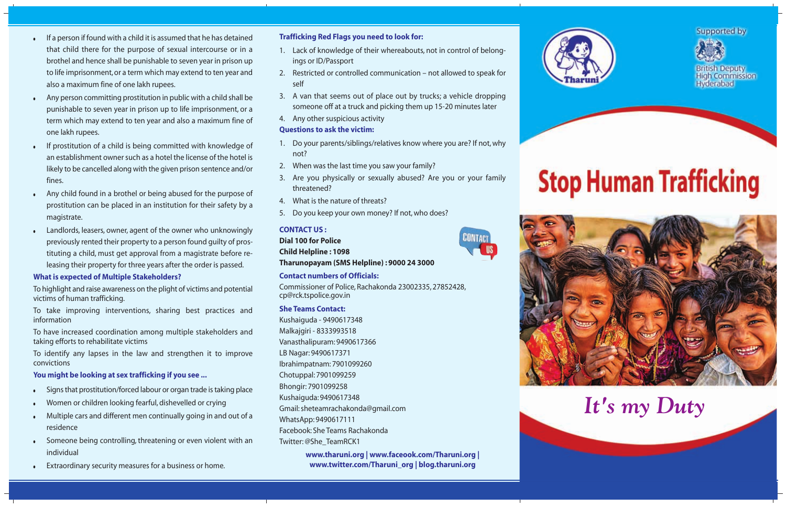- If a person if found with a child it is assumed that he has detained that child there for the purpose of sexual intercourse or in a brothel and hence shall be punishable to seven year in prison up to life imprisonment, or a term which may extend to ten year and also a maximum fine of one lakh rupees.
- Any person committing prostitution in public with a child shall be punishable to seven year in prison up to life imprisonment, or a term which may extend to ten year and also a maximum fine of one lakh rupees.
- If prostitution of a child is being committed with knowledge of an establishment owner such as a hotel the license of the hotel is likely to be cancelled along with the given prison sentence and/or fines.
- Any child found in a brothel or being abused for the purpose of prostitution can be placed in an institution for their safety by a magistrate.
- Landlords, leasers, owner, agent of the owner who unknowingly previously rented their property to a person found guilty of prostituting a child, must get approval from a magistrate before releasing their property for three years after the order is passed.

## **What is expected of Multiple Stakeholders?**

To highlight and raise awareness on the plight of victims and potential victims of human trafficking.

To take improving interventions, sharing best practices and information

To have increased coordination among multiple stakeholders and taking efforts to rehabilitate victims

To identify any lapses in the law and strengthen it to improve convictions

**You might be looking at sex trafficking if you see ...**

- Signs that prostitution/forced labour or organ trade is taking place
- Women or children looking fearful, dishevelled or crying
- Multiple cars and different men continually going in and out of a residence
- Someone being controlling, threatening or even violent with an individual
- Extraordinary security measures for a business or home.

## **Trafficking Red Flags you need to look for:**

- 1. Lack of knowledge of their whereabouts, not in control of belongings or ID/Passport
- 2. Restricted or controlled communication not allowed to speak for self
- 3. A van that seems out of place out by trucks; a vehicle dropping someone off at a truck and picking them up 15-20 minutes later
- 4. Any other suspicious activity

## **Questions to ask the victim:**

- 1. Do your parents/siblings/relatives know where you are? If not, why not?
- 2. When was the last time you saw your family?
- 3. Are you physically or sexually abused? Are you or your family threatened?
- 4. What is the nature of threats?
- 5. Do you keep your own money? If not, who does?

## **CONTACT US :**

**Dial 100 for Police**

**Child Helpline : 1098**

**Tharunopayam (SMS Helpline) : 9000 24 3000**

## **Contact numbers of Officials:**

Commissioner of Police, Rachakonda 23002335, 27852428, cp@rck.tspolice.gov.in

## **She Teams Contact:**

Kushaiguda - 9490617348 Malkajgiri - 8333993518 Vanasthalipuram: 9490617366 LB Nagar: 9490617371 Ibrahimpatnam: 7901099260 Chotuppal: 7901099259 Bhongir: 7901099258 Kushaiguda: 9490617348 Gmail: sheteamrachakonda@gmail.com WhatsApp: 9490617111 Facebook: She Teams Rachakonda Twitter: @She\_TeamRCK1

> **www.tharuni.org | www.faceook.com/Tharuni.org | www.twitter.com/Tharuni\_org | blog.tharuni.org**







# **Stop Human Trafficking**



*It's my Duty*